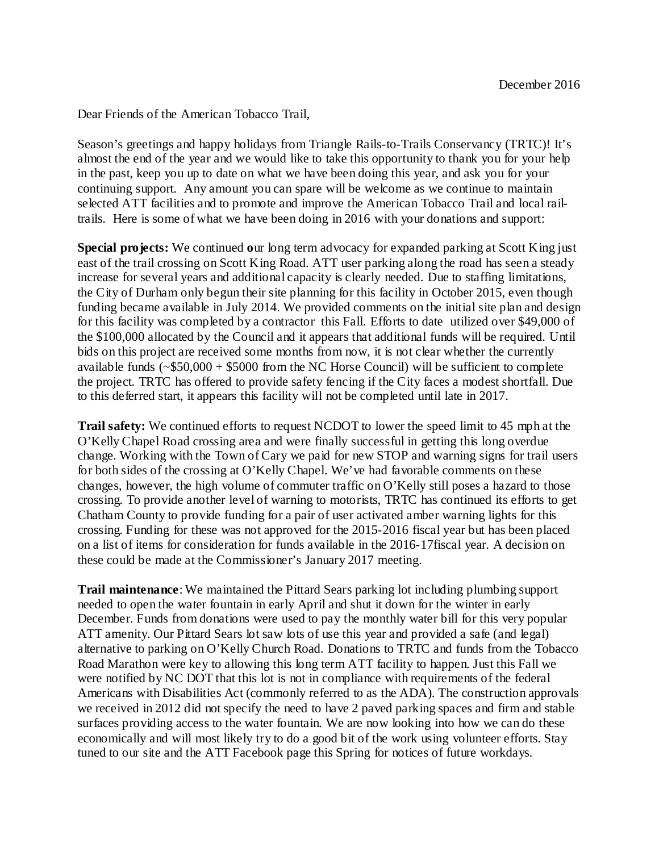Dear Friends of the American Tobacco Trail,

Season's greetings and happy holidays from Triangle Rails-to-Trails Conservancy (TRTC)! It's almost the end of the year and we would like to take this opportunity to thank you for your help in the past, keep you up to date on what we have been doing this year, and ask you for your continuing support. Any amount you can spare will be welcome as we continue to maintain selected ATT facilities and to promote and improve the American Tobacco Trail and local railtrails. Here is some of what we have been doing in 2016 with your donations and support:

**Special projects:** We continued **o**ur long term advocacy for expanded parking at Scott King just east of the trail crossing on Scott King Road. ATT user parking along the road has seen a steady increase for several years and additional capacity is clearly needed. Due to staffing limitations, the City of Durham only begun their site planning for this facility in October 2015, even though funding became available in July 2014. We provided comments on the initial site plan and design for this facility was completed by a contractor this Fall. Efforts to date utilized over \$49,000 of the \$100,000 allocated by the Council and it appears that additional funds will be required. Until bids on this project are received some months from now, it is not clear whether the currently available funds  $(-\$50,000 + \$5000)$  from the NC Horse Council) will be sufficient to complete the project. TRTC has offered to provide safety fencing if the City faces a modest shortfall. Due to this deferred start, it appears this facility will not be completed until late in 2017.

**Trail safety:** We continued efforts to request NCDOT to lower the speed limit to 45 mph at the O'Kelly Chapel Road crossing area and were finally successful in getting this long overdue change. Working with the Town of Cary we paid for new STOP and warning signs for trail users for both sides of the crossing at O'Kelly Chapel. We've had favorable comments on these changes, however, the high volume of commuter traffic on O'Kelly still poses a hazard to those crossing. To provide another level of warning to motorists, TRTC has continued its efforts to get Chatham County to provide funding for a pair of user activated amber warning lights for this crossing. Funding for these was not approved for the 2015-2016 fiscal year but has been placed on a list of items for consideration for funds available in the 2016-17fiscal year. A decision on these could be made at the Commissioner's January 2017 meeting.

**Trail maintenance**: We maintained the Pittard Sears parking lot including plumbing support needed to open the water fountain in early April and shut it down for the winter in early December. Funds from donations were used to pay the monthly water bill for this very popular ATT amenity. Our Pittard Sears lot saw lots of use this year and provided a safe (and legal) alternative to parking on O'Kelly Church Road. Donations to TRTC and funds from the Tobacco Road Marathon were key to allowing this long term ATT facility to happen. Just this Fall we were notified by NC DOT that this lot is not in compliance with requirements of the federal Americans with Disabilities Act (commonly referred to as the ADA). The construction approvals we received in 2012 did not specify the need to have 2 paved parking spaces and firm and stable surfaces providing access to the water fountain. We are now looking into how we can do these economically and will most likely try to do a good bit of the work using volunteer efforts. Stay tuned to our site and the ATT Facebook page this Spring for notices of future workdays.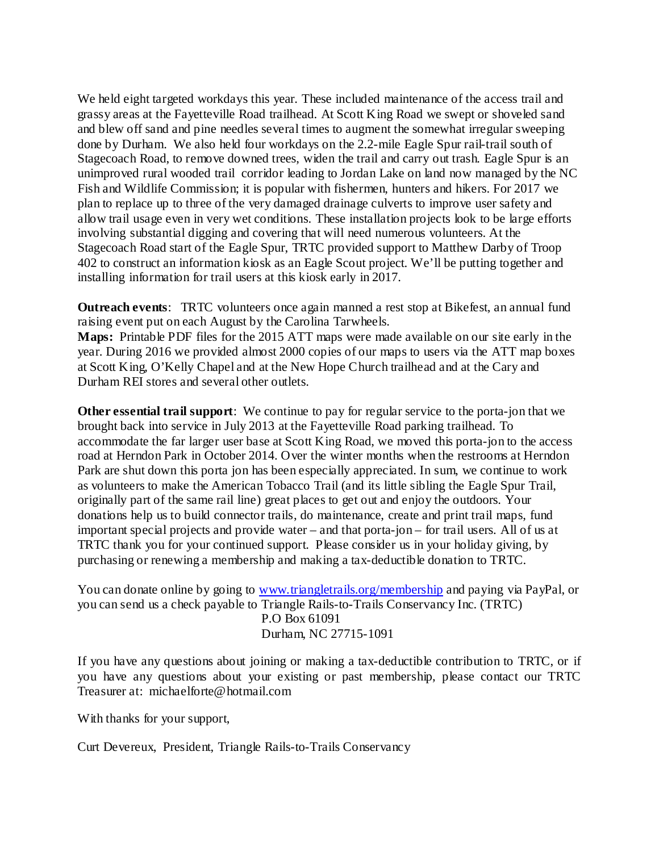We held eight targeted workdays this year. These included maintenance of the access trail and grassy areas at the Fayetteville Road trailhead. At Scott King Road we swept or shoveled sand and blew off sand and pine needles several times to augment the somewhat irregular sweeping done by Durham. We also held four workdays on the 2.2-mile Eagle Spur rail-trail south of Stagecoach Road, to remove downed trees, widen the trail and carry out trash. Eagle Spur is an unimproved rural wooded trail corridor leading to Jordan Lake on land now managed by the NC Fish and Wildlife Commission; it is popular with fishermen, hunters and hikers. For 2017 we plan to replace up to three of the very damaged drainage culverts to improve user safety and allow trail usage even in very wet conditions. These installation projects look to be large efforts involving substantial digging and covering that will need numerous volunteers. At the Stagecoach Road start of the Eagle Spur, TRTC provided support to Matthew Darby of Troop 402 to construct an information kiosk as an Eagle Scout project. We'll be putting together and installing information for trail users at this kiosk early in 2017.

**Outreach events**: TRTC volunteers once again manned a rest stop at Bikefest, an annual fund raising event put on each August by the Carolina Tarwheels.

**Maps:** Printable PDF files for the 2015 ATT maps were made available on our site early in the year. During 2016 we provided almost 2000 copies of our maps to users via the ATT map boxes at Scott King, O'Kelly Chapel and at the New Hope Church trailhead and at the Cary and Durham REI stores and several other outlets.

**Other essential trail support**: We continue to pay for regular service to the porta-jon that we brought back into service in July 2013 at the Fayetteville Road parking trailhead. To accommodate the far larger user base at Scott King Road, we moved this porta-jon to the access road at Herndon Park in October 2014. Over the winter months when the restrooms at Herndon Park are shut down this porta jon has been especially appreciated. In sum, we continue to work as volunteers to make the American Tobacco Trail (and its little sibling the Eagle Spur Trail, originally part of the same rail line) great places to get out and enjoy the outdoors. Your donations help us to build connector trails, do maintenance, create and print trail maps, fund important special projects and provide water – and that porta-jon – for trail users. All of us at TRTC thank you for your continued support. Please consider us in your holiday giving, by purchasing or renewing a membership and making a tax-deductible donation to TRTC.

You can donate online by going to [www.triangletrails.org/membership](http://www.triangletrails.org/membership) and paying via PayPal, or you can send us a check payable to Triangle Rails-to-Trails Conservancy Inc. (TRTC) P.O Box 61091

Durham, NC 27715-1091

If you have any questions about joining or making a tax-deductible contribution to TRTC, or if you have any questions about your existing or past membership, please contact our TRTC Treasurer at: michaelforte@hotmail.com

With thanks for your support,

Curt Devereux, President, Triangle Rails-to-Trails Conservancy